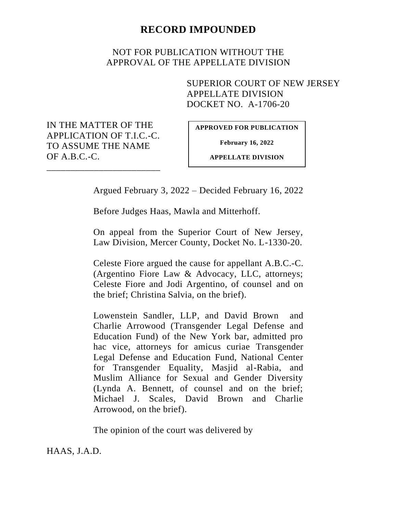## **RECORD IMPOUNDED**

## NOT FOR PUBLICATION WITHOUT THE APPROVAL OF THE APPELLATE DIVISION

SUPERIOR COURT OF NEW JERSEY APPELLATE DIVISION DOCKET NO. A-1706-20

IN THE MATTER OF THE APPLICATION OF T.I.C.-C. TO ASSUME THE NAME OF A.B.C.-C.

\_\_\_\_\_\_\_\_\_\_\_\_\_\_\_\_\_\_\_\_\_\_\_\_

**APPROVED FOR PUBLICATION**

**February 16, 2022**

**APPELLATE DIVISION**

Argued February 3, 2022 – Decided February 16, 2022

Before Judges Haas, Mawla and Mitterhoff.

On appeal from the Superior Court of New Jersey, Law Division, Mercer County, Docket No. L-1330-20.

Celeste Fiore argued the cause for appellant A.B.C.-C. (Argentino Fiore Law & Advocacy, LLC, attorneys; Celeste Fiore and Jodi Argentino, of counsel and on the brief; Christina Salvia, on the brief).

Lowenstein Sandler, LLP, and David Brown and Charlie Arrowood (Transgender Legal Defense and Education Fund) of the New York bar, admitted pro hac vice, attorneys for amicus curiae Transgender Legal Defense and Education Fund, National Center for Transgender Equality, Masjid al-Rabia, and Muslim Alliance for Sexual and Gender Diversity (Lynda A. Bennett, of counsel and on the brief; Michael J. Scales, David Brown and Charlie Arrowood, on the brief).

The opinion of the court was delivered by

HAAS, J.A.D.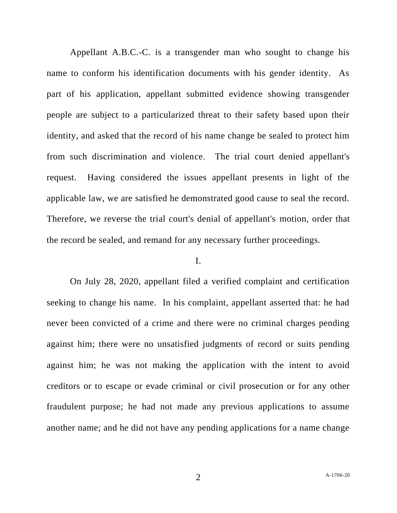Appellant A.B.C.-C. is a transgender man who sought to change his name to conform his identification documents with his gender identity. As part of his application, appellant submitted evidence showing transgender people are subject to a particularized threat to their safety based upon their identity, and asked that the record of his name change be sealed to protect him from such discrimination and violence. The trial court denied appellant's request. Having considered the issues appellant presents in light of the applicable law, we are satisfied he demonstrated good cause to seal the record. Therefore, we reverse the trial court's denial of appellant's motion, order that the record be sealed, and remand for any necessary further proceedings.

## I.

On July 28, 2020, appellant filed a verified complaint and certification seeking to change his name. In his complaint, appellant asserted that: he had never been convicted of a crime and there were no criminal charges pending against him; there were no unsatisfied judgments of record or suits pending against him; he was not making the application with the intent to avoid creditors or to escape or evade criminal or civil prosecution or for any other fraudulent purpose; he had not made any previous applications to assume another name; and he did not have any pending applications for a name change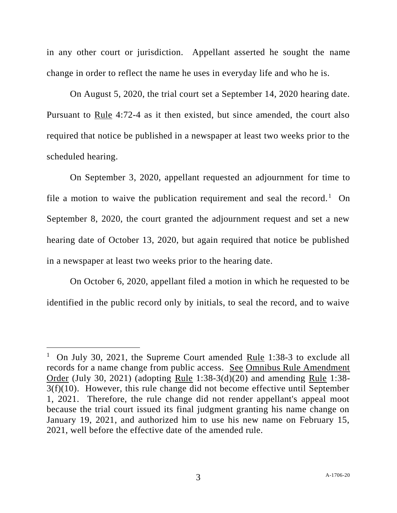in any other court or jurisdiction. Appellant asserted he sought the name change in order to reflect the name he uses in everyday life and who he is.

On August 5, 2020, the trial court set a September 14, 2020 hearing date. Pursuant to Rule 4:72-4 as it then existed, but since amended, the court also required that notice be published in a newspaper at least two weeks prior to the scheduled hearing.

On September 3, 2020, appellant requested an adjournment for time to file a motion to waive the publication requirement and seal the record.<sup>1</sup> On September 8, 2020, the court granted the adjournment request and set a new hearing date of October 13, 2020, but again required that notice be published in a newspaper at least two weeks prior to the hearing date.

On October 6, 2020, appellant filed a motion in which he requested to be identified in the public record only by initials, to seal the record, and to waive

<sup>&</sup>lt;sup>1</sup> On July 30, 2021, the Supreme Court amended <u>Rule</u> 1:38-3 to exclude all records for a name change from public access. See Omnibus Rule Amendment Order (July 30, 2021) (adopting Rule 1:38-3(d)(20) and amending Rule 1:38- 3(f)(10). However, this rule change did not become effective until September 1, 2021. Therefore, the rule change did not render appellant's appeal moot because the trial court issued its final judgment granting his name change on January 19, 2021, and authorized him to use his new name on February 15, 2021, well before the effective date of the amended rule.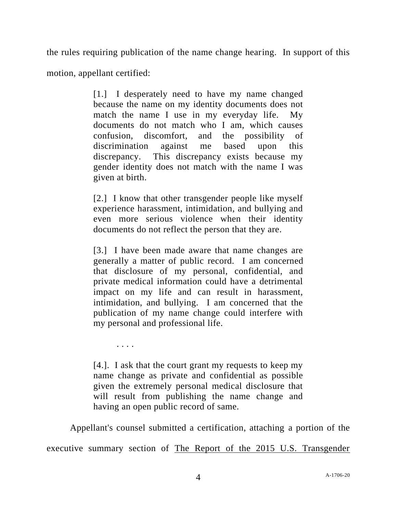the rules requiring publication of the name change hearing. In support of this

motion, appellant certified:

. . . .

[1.] I desperately need to have my name changed because the name on my identity documents does not match the name I use in my everyday life. My documents do not match who I am, which causes confusion, discomfort, and the possibility of discrimination against me based upon this discrepancy. This discrepancy exists because my gender identity does not match with the name I was given at birth.

[2.] I know that other transgender people like myself experience harassment, intimidation, and bullying and even more serious violence when their identity documents do not reflect the person that they are.

[3.] I have been made aware that name changes are generally a matter of public record. I am concerned that disclosure of my personal, confidential, and private medical information could have a detrimental impact on my life and can result in harassment, intimidation, and bullying. I am concerned that the publication of my name change could interfere with my personal and professional life.

[4.]. I ask that the court grant my requests to keep my name change as private and confidential as possible given the extremely personal medical disclosure that will result from publishing the name change and having an open public record of same.

Appellant's counsel submitted a certification, attaching a portion of the executive summary section of The Report of the 2015 U.S. Transgender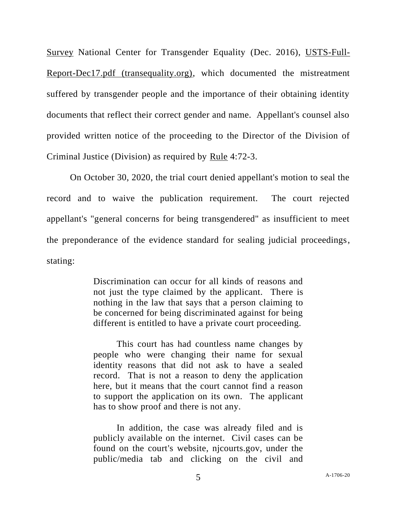Survey National Center for Transgender Equality (Dec. 2016), USTS-Full-Report-Dec17.pdf (transequality.org), which documented the mistreatment suffered by transgender people and the importance of their obtaining identity documents that reflect their correct gender and name. Appellant's counsel also provided written notice of the proceeding to the Director of the Division of Criminal Justice (Division) as required by Rule 4:72-3.

On October 30, 2020, the trial court denied appellant's motion to seal the record and to waive the publication requirement. The court rejected appellant's "general concerns for being transgendered" as insufficient to meet the preponderance of the evidence standard for sealing judicial proceedings, stating:

> Discrimination can occur for all kinds of reasons and not just the type claimed by the applicant. There is nothing in the law that says that a person claiming to be concerned for being discriminated against for being different is entitled to have a private court proceeding.

> This court has had countless name changes by people who were changing their name for sexual identity reasons that did not ask to have a sealed record. That is not a reason to deny the application here, but it means that the court cannot find a reason to support the application on its own. The applicant has to show proof and there is not any.

> In addition, the case was already filed and is publicly available on the internet. Civil cases can be found on the court's website, njcourts.gov, under the public/media tab and clicking on the civil and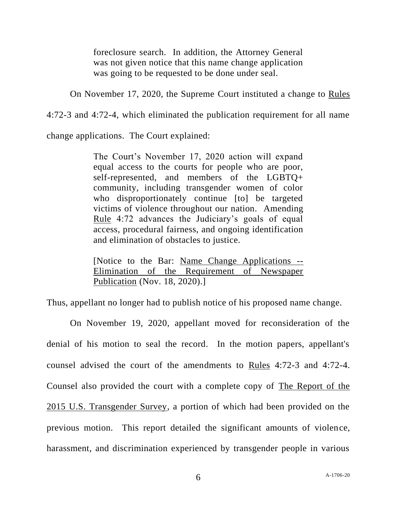foreclosure search. In addition, the Attorney General was not given notice that this name change application was going to be requested to be done under seal.

On November 17, 2020, the Supreme Court instituted a change to Rules

4:72-3 and 4:72-4, which eliminated the publication requirement for all name

change applications. The Court explained:

The Court's November 17, 2020 action will expand equal access to the courts for people who are poor, self-represented, and members of the LGBTQ+ community, including transgender women of color who disproportionately continue [to] be targeted victims of violence throughout our nation. Amending Rule 4:72 advances the Judiciary's goals of equal access, procedural fairness, and ongoing identification and elimination of obstacles to justice.

[Notice to the Bar: Name Change Applications -- Elimination of the Requirement of Newspaper Publication (Nov. 18, 2020).]

Thus, appellant no longer had to publish notice of his proposed name change.

On November 19, 2020, appellant moved for reconsideration of the denial of his motion to seal the record. In the motion papers, appellant's counsel advised the court of the amendments to Rules 4:72-3 and 4:72-4. Counsel also provided the court with a complete copy of The Report of the 2015 U.S. Transgender Survey, a portion of which had been provided on the previous motion. This report detailed the significant amounts of violence, harassment, and discrimination experienced by transgender people in various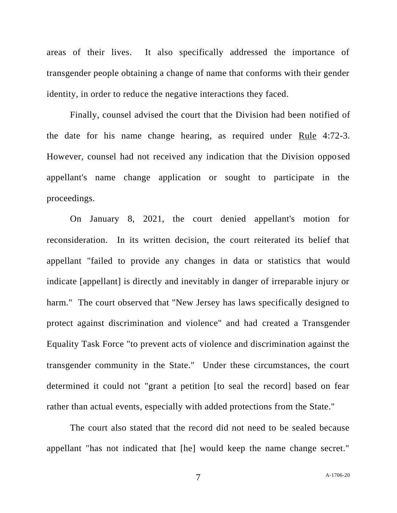areas of their lives. It also specifically addressed the importance of transgender people obtaining a change of name that conforms with their gender identity, in order to reduce the negative interactions they faced.

Finally, counsel advised the court that the Division had been notified of the date for his name change hearing, as required under Rule 4:72-3. However, counsel had not received any indication that the Division opposed appellant's name change application or sought to participate in the proceedings.

On January 8, 2021, the court denied appellant's motion for reconsideration. In its written decision, the court reiterated its belief that appellant "failed to provide any changes in data or statistics that would indicate [appellant] is directly and inevitably in danger of irreparable injury or harm." The court observed that "New Jersey has laws specifically designed to protect against discrimination and violence" and had created a Transgender Equality Task Force "to prevent acts of violence and discrimination against the transgender community in the State." Under these circumstances, the court determined it could not "grant a petition [to seal the record] based on fear rather than actual events, especially with added protections from the State."

The court also stated that the record did not need to be sealed because appellant "has not indicated that [he] would keep the name change secret."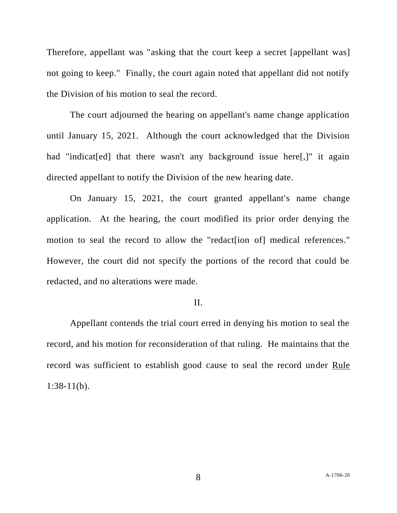Therefore, appellant was "asking that the court keep a secret [appellant was] not going to keep." Finally, the court again noted that appellant did not notify the Division of his motion to seal the record.

The court adjourned the hearing on appellant's name change application until January 15, 2021. Although the court acknowledged that the Division had "indicated] that there wasn't any background issue here. The again directed appellant to notify the Division of the new hearing date.

On January 15, 2021, the court granted appellant's name change application. At the hearing, the court modified its prior order denying the motion to seal the record to allow the "redact [ion of] medical references." However, the court did not specify the portions of the record that could be redacted, and no alterations were made.

## II.

Appellant contends the trial court erred in denying his motion to seal the record, and his motion for reconsideration of that ruling. He maintains that the record was sufficient to establish good cause to seal the record under Rule 1:38-11(b).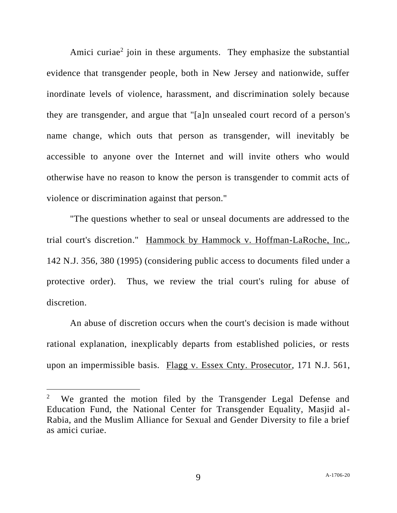Amici curiae<sup>2</sup> join in these arguments. They emphasize the substantial evidence that transgender people, both in New Jersey and nationwide, suffer inordinate levels of violence, harassment, and discrimination solely because they are transgender, and argue that "[a]n unsealed court record of a person's name change, which outs that person as transgender, will inevitably be accessible to anyone over the Internet and will invite others who would otherwise have no reason to know the person is transgender to commit acts of violence or discrimination against that person."

"The questions whether to seal or unseal documents are addressed to the trial court's discretion." Hammock by Hammock v. Hoffman-LaRoche, Inc., 142 N.J. 356, 380 (1995) (considering public access to documents filed under a protective order). Thus, we review the trial court's ruling for abuse of discretion.

An abuse of discretion occurs when the court's decision is made without rational explanation, inexplicably departs from established policies, or rests upon an impermissible basis. Flagg v. Essex Cnty. Prosecutor, 171 N.J. 561,

<sup>2</sup> We granted the motion filed by the Transgender Legal Defense and Education Fund, the National Center for Transgender Equality, Masjid al-Rabia, and the Muslim Alliance for Sexual and Gender Diversity to file a brief as amici curiae.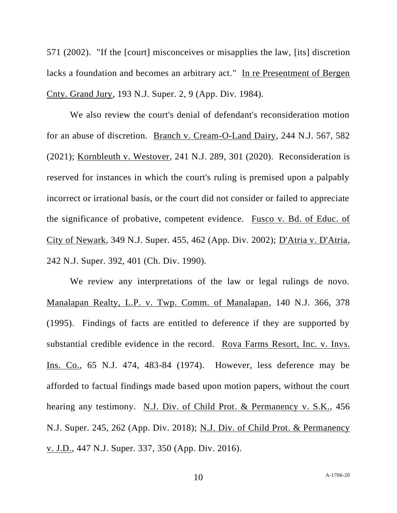571 (2002). "If the [court] misconceives or misapplies the law, [its] discretion lacks a foundation and becomes an arbitrary act." In re Presentment of Bergen Cnty. Grand Jury, 193 N.J. Super. 2, 9 (App. Div. 1984).

We also review the court's denial of defendant's reconsideration motion for an abuse of discretion. Branch v. Cream-O-Land Dairy, 244 N.J. 567, 582 (2021); Kornbleuth v. Westover, 241 N.J. 289, 301 (2020). Reconsideration is reserved for instances in which the court's ruling is premised upon a palpably incorrect or irrational basis, or the court did not consider or failed to appreciate the significance of probative, competent evidence. Fusco v. Bd. of Educ. of City of Newark, 349 N.J. Super. 455, 462 (App. Div. 2002); D'Atria v. D'Atria, 242 N.J. Super. 392, 401 (Ch. Div. 1990).

We review any interpretations of the law or legal rulings de novo. Manalapan Realty, L.P. v. Twp. Comm. of Manalapan, 140 N.J. 366, 378 (1995). Findings of facts are entitled to deference if they are supported by substantial credible evidence in the record. Rova Farms Resort, Inc. v. Invs. Ins. Co., 65 N.J. 474, 483-84 (1974). However, less deference may be afforded to factual findings made based upon motion papers, without the court hearing any testimony. N.J. Div. of Child Prot. & Permanency v. S.K., 456 N.J. Super. 245, 262 (App. Div. 2018); N.J. Div. of Child Prot. & Permanency v. J.D., 447 N.J. Super. 337, 350 (App. Div. 2016).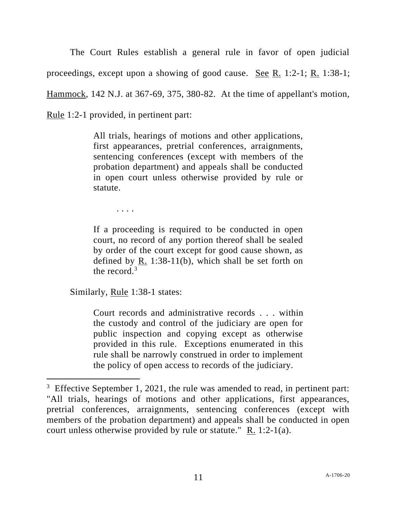The Court Rules establish a general rule in favor of open judicial proceedings, except upon a showing of good cause. <u>See R.</u> 1:2-1; R. 1:38-1; Hammock, 142 N.J. at 367-69, 375, 380-82. At the time of appellant's motion, Rule 1:2-1 provided, in pertinent part:

> All trials, hearings of motions and other applications, first appearances, pretrial conferences, arraignments, sentencing conferences (except with members of the probation department) and appeals shall be conducted in open court unless otherwise provided by rule or statute.

. . . .

If a proceeding is required to be conducted in open court, no record of any portion thereof shall be sealed by order of the court except for good cause shown, as defined by R. 1:38-11(b), which shall be set forth on the record. $3$ 

Similarly, Rule 1:38-1 states:

Court records and administrative records . . . within the custody and control of the judiciary are open for public inspection and copying except as otherwise provided in this rule. Exceptions enumerated in this rule shall be narrowly construed in order to implement the policy of open access to records of the judiciary.

<sup>&</sup>lt;sup>3</sup> Effective September 1, 2021, the rule was amended to read, in pertinent part: "All trials, hearings of motions and other applications, first appearances, pretrial conferences, arraignments, sentencing conferences (except with members of the probation department) and appeals shall be conducted in open court unless otherwise provided by rule or statute."  $R_1$ . 1:2-1(a).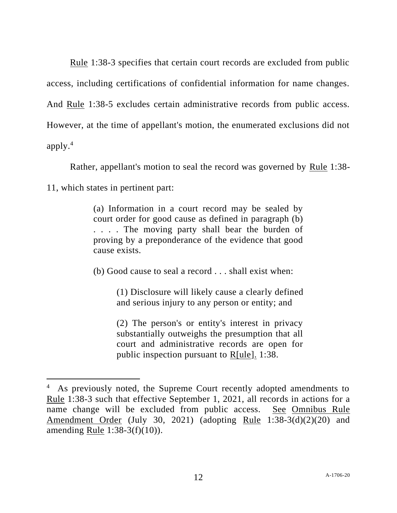Rule 1:38-3 specifies that certain court records are excluded from public access, including certifications of confidential information for name changes. And Rule 1:38-5 excludes certain administrative records from public access. However, at the time of appellant's motion, the enumerated exclusions did not apply.<sup>4</sup>

Rather, appellant's motion to seal the record was governed by Rule 1:38-

11, which states in pertinent part:

(a) Information in a court record may be sealed by court order for good cause as defined in paragraph (b) . . . . The moving party shall bear the burden of proving by a preponderance of the evidence that good cause exists.

(b) Good cause to seal a record . . . shall exist when:

(1) Disclosure will likely cause a clearly defined and serious injury to any person or entity; and

(2) The person's or entity's interest in privacy substantially outweighs the presumption that all court and administrative records are open for public inspection pursuant to R[ule]. 1:38.

<sup>4</sup> As previously noted, the Supreme Court recently adopted amendments to Rule 1:38-3 such that effective September 1, 2021, all records in actions for a name change will be excluded from public access. See Omnibus Rule Amendment Order (July 30, 2021) (adopting Rule 1:38-3(d)(2)(20) and amending <u>Rule</u> 1:38-3(f)(10)).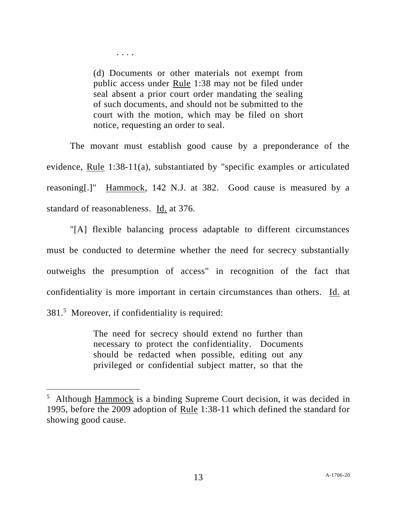(d) Documents or other materials not exempt from public access under Rule 1:38 may not be filed under seal absent a prior court order mandating the sealing of such documents, and should not be submitted to the court with the motion, which may be filed on short notice, requesting an order to seal.

. . . .

The movant must establish good cause by a preponderance of the evidence, Rule 1:38-11(a), substantiated by "specific examples or articulated reasoning[.]" Hammock, 142 N.J. at 382. Good cause is measured by a standard of reasonableness. Id. at 376.

"[A] flexible balancing process adaptable to different circumstances must be conducted to determine whether the need for secrecy substantially outweighs the presumption of access" in recognition of the fact that confidentiality is more important in certain circumstances than others. Id. at 381.<sup>5</sup> Moreover, if confidentiality is required:

> The need for secrecy should extend no further than necessary to protect the confidentiality. Documents should be redacted when possible, editing out any privileged or confidential subject matter, so that the

 $<sup>5</sup>$  Although Hammock is a binding Supreme Court decision, it was decided in</sup> 1995, before the 2009 adoption of Rule 1:38-11 which defined the standard for showing good cause.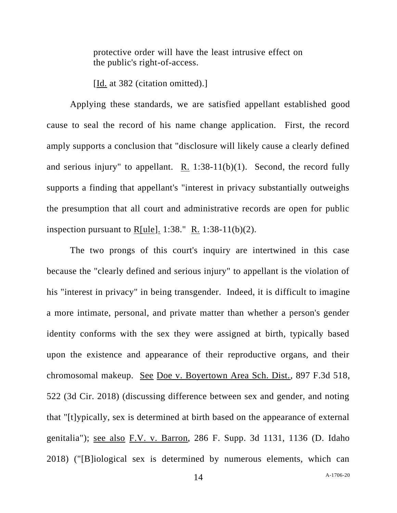protective order will have the least intrusive effect on the public's right-of-access.

[Id. at 382 (citation omitted).]

Applying these standards, we are satisfied appellant established good cause to seal the record of his name change application. First, the record amply supports a conclusion that "disclosure will likely cause a clearly defined and serious injury" to appellant. R. 1:38-11(b)(1). Second, the record fully supports a finding that appellant's "interest in privacy substantially outweighs the presumption that all court and administrative records are open for public inspection pursuant to R[ule]. 1:38." R. 1:38-11(b)(2).

The two prongs of this court's inquiry are intertwined in this case because the "clearly defined and serious injury" to appellant is the violation of his "interest in privacy" in being transgender. Indeed, it is difficult to imagine a more intimate, personal, and private matter than whether a person's gender identity conforms with the sex they were assigned at birth, typically based upon the existence and appearance of their reproductive organs, and their chromosomal makeup. See Doe v. Boyertown Area Sch. Dist., 897 F.3d 518, 522 (3d Cir. 2018) (discussing difference between sex and gender, and noting that "[t]ypically, sex is determined at birth based on the appearance of external genitalia"); see also F.V. v. Barron, 286 F. Supp. 3d 1131, 1136 (D. Idaho 2018) ("[B]iological sex is determined by numerous elements, which can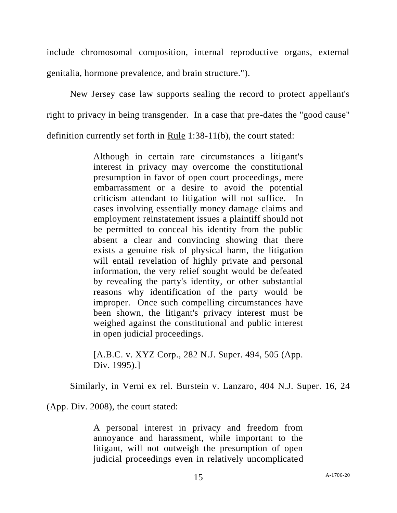include chromosomal composition, internal reproductive organs, external genitalia, hormone prevalence, and brain structure.").

New Jersey case law supports sealing the record to protect appellant's right to privacy in being transgender. In a case that pre-dates the "good cause" definition currently set forth in Rule 1:38-11(b), the court stated:

> Although in certain rare circumstances a litigant's interest in privacy may overcome the constitutional presumption in favor of open court proceedings, mere embarrassment or a desire to avoid the potential criticism attendant to litigation will not suffice. In cases involving essentially money damage claims and employment reinstatement issues a plaintiff should not be permitted to conceal his identity from the public absent a clear and convincing showing that there exists a genuine risk of physical harm, the litigation will entail revelation of highly private and personal information, the very relief sought would be defeated by revealing the party's identity, or other substantial reasons why identification of the party would be improper. Once such compelling circumstances have been shown, the litigant's privacy interest must be weighed against the constitutional and public interest in open judicial proceedings.

[A.B.C. v. XYZ Corp., 282 N.J. Super. 494, 505 (App. Div. 1995).]

Similarly, in Verni ex rel. Burstein v. Lanzaro, 404 N.J. Super. 16, 24

(App. Div. 2008), the court stated:

A personal interest in privacy and freedom from annoyance and harassment, while important to the litigant, will not outweigh the presumption of open judicial proceedings even in relatively uncomplicated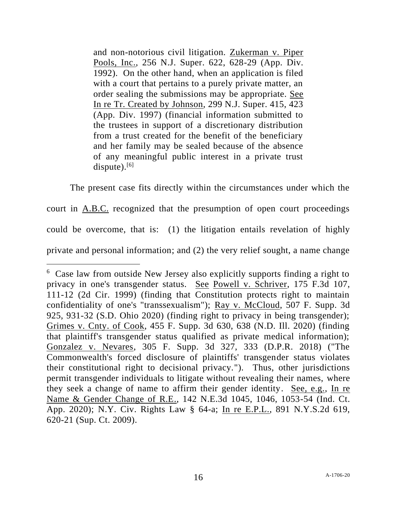and non-notorious civil litigation. Zukerman v. Piper Pools, Inc., 256 N.J. Super. 622, 628-29 (App. Div. 1992). On the other hand, when an application is filed with a court that pertains to a purely private matter, an order sealing the submissions may be appropriate. See In re Tr. Created by Johnson, 299 N.J. Super. 415, 423 (App. Div. 1997) (financial information submitted to the trustees in support of a discretionary distribution from a trust created for the benefit of the beneficiary and her family may be sealed because of the absence of any meaningful public interest in a private trust dispute). $[6]$ 

The present case fits directly within the circumstances under which the court in A.B.C. recognized that the presumption of open court proceedings could be overcome, that is: (1) the litigation entails revelation of highly private and personal information; and (2) the very relief sought, a name change

<sup>&</sup>lt;sup>6</sup> Case law from outside New Jersey also explicitly supports finding a right to privacy in one's transgender status. See Powell v. Schriver, 175 F.3d 107, 111-12 (2d Cir. 1999) (finding that Constitution protects right to maintain confidentiality of one's "transsexualism"); Ray v. McCloud, 507 F. Supp. 3d 925, 931-32 (S.D. Ohio 2020) (finding right to privacy in being transgender); Grimes v. Cnty. of Cook, 455 F. Supp. 3d 630, 638 (N.D. Ill. 2020) (finding that plaintiff's transgender status qualified as private medical information); Gonzalez v. Nevares, 305 F. Supp. 3d 327, 333 (D.P.R. 2018) ("The Commonwealth's forced disclosure of plaintiffs' transgender status violates their constitutional right to decisional privacy."). Thus, other jurisdictions permit transgender individuals to litigate without revealing their names, where they seek a change of name to affirm their gender identity. See, e.g., In re Name & Gender Change of R.E., 142 N.E.3d 1045, 1046, 1053-54 (Ind. Ct. App. 2020); N.Y. Civ. Rights Law § 64-a; In re E.P.L., 891 N.Y.S.2d 619, 620-21 (Sup. Ct. 2009).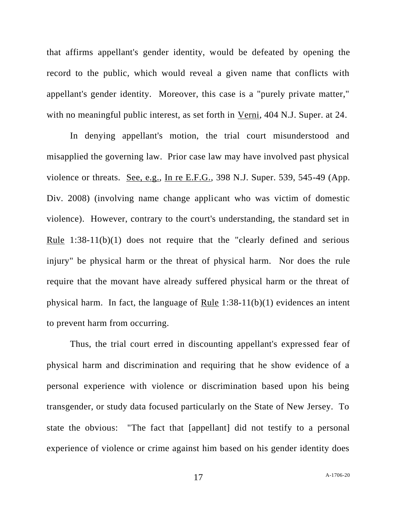that affirms appellant's gender identity, would be defeated by opening the record to the public, which would reveal a given name that conflicts with appellant's gender identity. Moreover, this case is a "purely private matter," with no meaningful public interest, as set forth in Verni, 404 N.J. Super. at 24.

In denying appellant's motion, the trial court misunderstood and misapplied the governing law. Prior case law may have involved past physical violence or threats. See, e.g., In re E.F.G., 398 N.J. Super. 539, 545-49 (App. Div. 2008) (involving name change applicant who was victim of domestic violence). However, contrary to the court's understanding, the standard set in Rule 1:38-11(b)(1) does not require that the "clearly defined and serious injury" be physical harm or the threat of physical harm. Nor does the rule require that the movant have already suffered physical harm or the threat of physical harm. In fact, the language of Rule 1:38-11(b)(1) evidences an intent to prevent harm from occurring.

Thus, the trial court erred in discounting appellant's expressed fear of physical harm and discrimination and requiring that he show evidence of a personal experience with violence or discrimination based upon his being transgender, or study data focused particularly on the State of New Jersey. To state the obvious: "The fact that [appellant] did not testify to a personal experience of violence or crime against him based on his gender identity does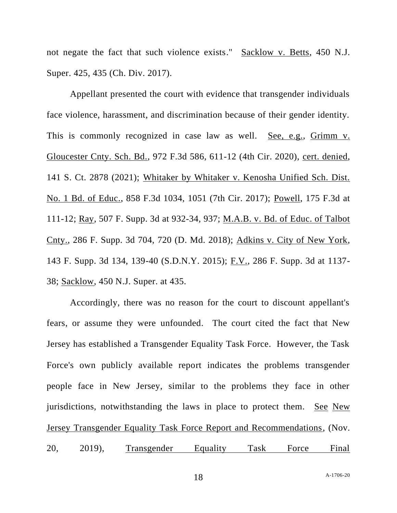not negate the fact that such violence exists." Sacklow v. Betts, 450 N.J. Super. 425, 435 (Ch. Div. 2017).

Appellant presented the court with evidence that transgender individuals face violence, harassment, and discrimination because of their gender identity. This is commonly recognized in case law as well. See, e.g., Grimm v. Gloucester Cnty. Sch. Bd., 972 F.3d 586, 611-12 (4th Cir. 2020), cert. denied, 141 S. Ct. 2878 (2021); Whitaker by Whitaker v. Kenosha Unified Sch. Dist. No. 1 Bd. of Educ., 858 F.3d 1034, 1051 (7th Cir. 2017); Powell, 175 F.3d at 111-12; Ray, 507 F. Supp. 3d at 932-34, 937; M.A.B. v. Bd. of Educ. of Talbot Cnty., 286 F. Supp. 3d 704, 720 (D. Md. 2018); Adkins v. City of New York, 143 F. Supp. 3d 134, 139-40 (S.D.N.Y. 2015); F.V., 286 F. Supp. 3d at 1137- 38; Sacklow, 450 N.J. Super. at 435.

Accordingly, there was no reason for the court to discount appellant's fears, or assume they were unfounded. The court cited the fact that New Jersey has established a Transgender Equality Task Force. However, the Task Force's own publicly available report indicates the problems transgender people face in New Jersey, similar to the problems they face in other jurisdictions, notwithstanding the laws in place to protect them. See New Jersey Transgender Equality Task Force Report and Recommendations, (Nov. 20, 2019), Transgender Equality Task Force Final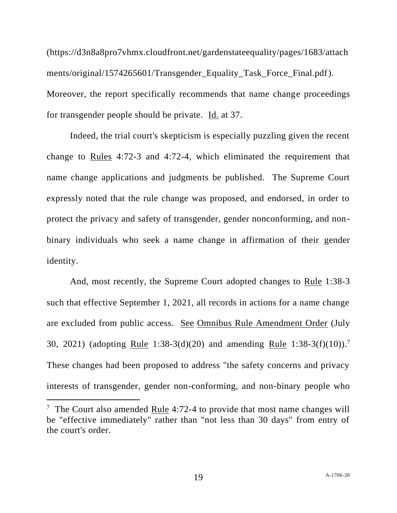(https://d3n8a8pro7vhmx.cloudfront.net/gardenstateequality/pages/1683/attach ments/original/1574265601/Transgender\_Equality\_Task\_Force\_Final.pdf). Moreover, the report specifically recommends that name change proceedings for transgender people should be private. Id. at 37.

Indeed, the trial court's skepticism is especially puzzling given the recent change to Rules 4:72-3 and 4:72-4, which eliminated the requirement that name change applications and judgments be published. The Supreme Court expressly noted that the rule change was proposed, and endorsed, in order to protect the privacy and safety of transgender, gender nonconforming, and nonbinary individuals who seek a name change in affirmation of their gender identity.

And, most recently, the Supreme Court adopted changes to Rule 1:38-3 such that effective September 1, 2021, all records in actions for a name change are excluded from public access. See Omnibus Rule Amendment Order (July 30, 2021) (adopting Rule 1:38-3(d)(20) and amending Rule 1:38-3(f)(10)).<sup>7</sup> These changes had been proposed to address "the safety concerns and privacy interests of transgender, gender non-conforming, and non-binary people who

<sup>&</sup>lt;sup>7</sup> The Court also amended <u>Rule</u> 4:72-4 to provide that most name changes will be "effective immediately" rather than "not less than 30 days" from entry of the court's order.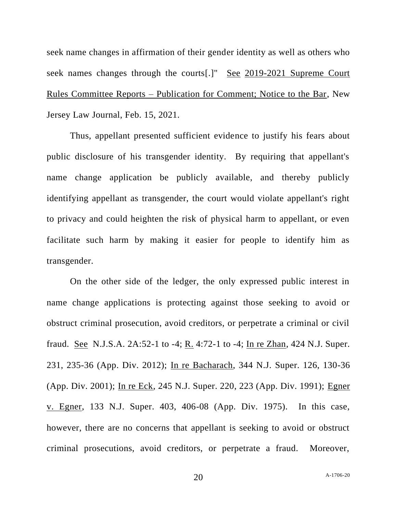seek name changes in affirmation of their gender identity as well as others who seek names changes through the courts[.]" See 2019-2021 Supreme Court Rules Committee Reports – Publication for Comment; Notice to the Bar, New Jersey Law Journal, Feb. 15, 2021.

Thus, appellant presented sufficient evidence to justify his fears about public disclosure of his transgender identity. By requiring that appellant's name change application be publicly available, and thereby publicly identifying appellant as transgender, the court would violate appellant's right to privacy and could heighten the risk of physical harm to appellant, or even facilitate such harm by making it easier for people to identify him as transgender.

On the other side of the ledger, the only expressed public interest in name change applications is protecting against those seeking to avoid or obstruct criminal prosecution, avoid creditors, or perpetrate a criminal or civil fraud. <u>See</u> N.J.S.A. 2A:52-1 to -4; R. 4:72-1 to -4; In re Zhan, 424 N.J. Super. 231, 235-36 (App. Div. 2012); In re Bacharach, 344 N.J. Super. 126, 130-36 (App. Div. 2001); In re Eck, 245 N.J. Super. 220, 223 (App. Div. 1991); Egner v. Egner, 133 N.J. Super. 403, 406-08 (App. Div. 1975). In this case, however, there are no concerns that appellant is seeking to avoid or obstruct criminal prosecutions, avoid creditors, or perpetrate a fraud. Moreover,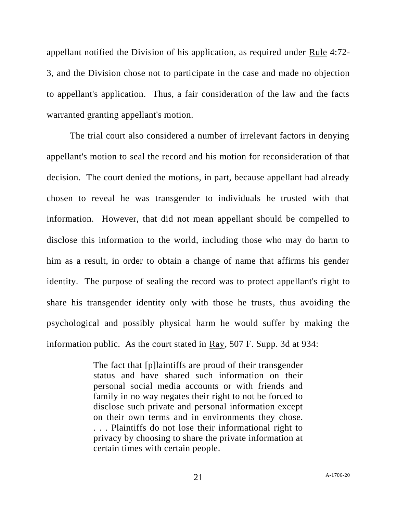appellant notified the Division of his application, as required under Rule 4:72- 3, and the Division chose not to participate in the case and made no objection to appellant's application. Thus, a fair consideration of the law and the facts warranted granting appellant's motion.

The trial court also considered a number of irrelevant factors in denying appellant's motion to seal the record and his motion for reconsideration of that decision. The court denied the motions, in part, because appellant had already chosen to reveal he was transgender to individuals he trusted with that information. However, that did not mean appellant should be compelled to disclose this information to the world, including those who may do harm to him as a result, in order to obtain a change of name that affirms his gender identity. The purpose of sealing the record was to protect appellant's right to share his transgender identity only with those he trusts, thus avoiding the psychological and possibly physical harm he would suffer by making the information public. As the court stated in Ray, 507 F. Supp. 3d at 934:

> The fact that [p]laintiffs are proud of their transgender status and have shared such information on their personal social media accounts or with friends and family in no way negates their right to not be forced to disclose such private and personal information except on their own terms and in environments they chose. . . . Plaintiffs do not lose their informational right to privacy by choosing to share the private information at certain times with certain people.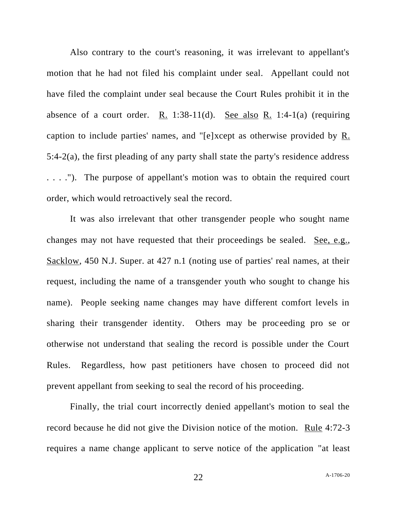Also contrary to the court's reasoning, it was irrelevant to appellant's motion that he had not filed his complaint under seal. Appellant could not have filed the complaint under seal because the Court Rules prohibit it in the absence of a court order. R. 1:38-11(d). See also R. 1:4-1(a) (requiring caption to include parties' names, and "[e]xcept as otherwise provided by R. 5:4-2(a), the first pleading of any party shall state the party's residence address . . . ."). The purpose of appellant's motion was to obtain the required court order, which would retroactively seal the record.

It was also irrelevant that other transgender people who sought name changes may not have requested that their proceedings be sealed. See, e.g., Sacklow, 450 N.J. Super. at 427 n.1 (noting use of parties' real names, at their request, including the name of a transgender youth who sought to change his name). People seeking name changes may have different comfort levels in sharing their transgender identity. Others may be proceeding pro se or otherwise not understand that sealing the record is possible under the Court Rules. Regardless, how past petitioners have chosen to proceed did not prevent appellant from seeking to seal the record of his proceeding.

Finally, the trial court incorrectly denied appellant's motion to seal the record because he did not give the Division notice of the motion. Rule 4:72-3 requires a name change applicant to serve notice of the application "at least